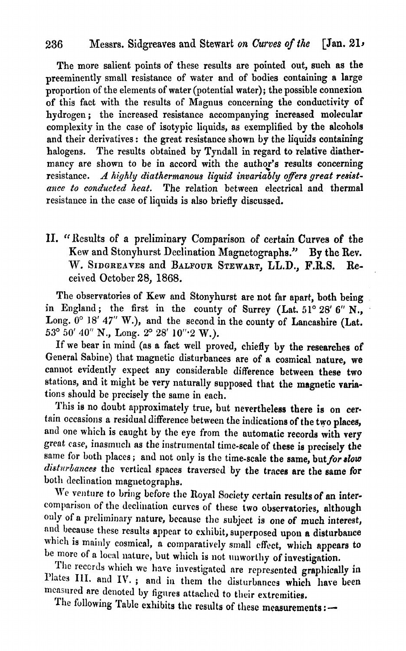The more salient points of these results are pointed out, such as the preeminently small resistance of water and of bodies containing a large proportion of the elements of water (potential water); the possible connexion of this fact with the results of Magnus concerning the conductivity of hydrogen; the increased resistance accompanying increased molecular complexity in the case of isotypic liquids, as exemplified by the alcohols and their derivatives: the great resistance shown by the liquids containing halogens. The results obtained by Tyndall in regard to relative diathermancy are shown to be in accord with the author's results concerning resistance. *A highly diathermanous liquid invariably offers great res'tstance to condueled heat.* The relation between electrical and thermal resistance in the case of liquids is also briefly discussed.

II. "Results of a preliminary Comparison of certain Curves of the Kew and Stonyhurst Declination Magnetographs." By the Rev. W. SIDGREAVES and BALFOUR STEWART, LL.D., F.R.S. Received October 28, 1868.

The observatories of Kew and Stonyhurst are not far apart, both being in England; the first in the county of Surrey (Lat. 51° 28' 6" N., Long.  $0^{\circ}$  18' 47" W.), and the second in the county of Lancashire (Lat. 53° 50' 40" N., Long. 2° 28' 10"'2 W.).

If we bear in mind (as a fact well proved, chiefly by the researches of General Sabine) that magnetic disturbances are of a cosmical nature, we cannot evidently expect any considerable difference between these two stations, and it might be very naturally supposed that the magnetic variations should be precisely the same in each.

This is no doubt approximately true, but nevertheless there is on cer. tain occasions a residual difference between the indications of the two places, and one which is caught by the eye from the automatic records with very great case, inasmuch as the instrumental time-scale of these is precisely the same for both places; and not only is the time-scale the same, but for slow *disturbances* the vertical spaces traversed by the traces are the same for both declination magnetographs.

'Ve venture to bring before the Royal Society certain results of an intercomparison of the declination curves of these two observatories, although only of a preliminary nature, because the subject is one of much interest, and because these results appear to exhibit, superposed upon a disturbance which is mainly cosmical, a comparatively small effect, which appears to be more of a local nature, but which is not unworthy of investigation.

The records which we have investigated nre represented graphically in Plates III. and IV.; and in them the disturbances which have been measured are denoted by figures attached to their extremities.

The following Table exhibits the results of these measurements:-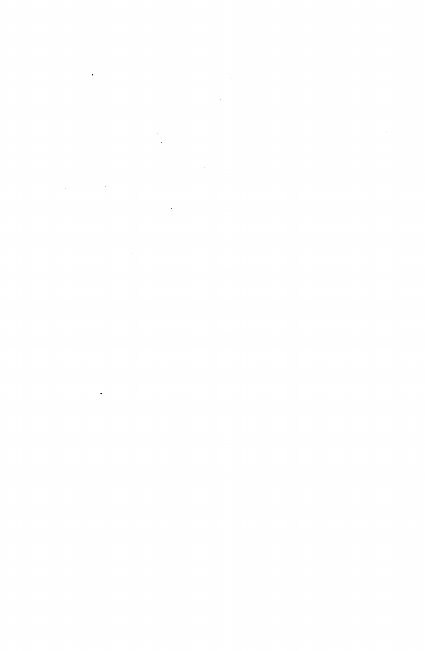$\mathcal{L}^{\text{max}}_{\text{max}}$  , where  $\mathcal{L}^{\text{max}}_{\text{max}}$  $\hat{\mathcal{L}}_{\text{max}}$  and  $\hat{\mathcal{L}}_{\text{max}}$  $\mathcal{L}^{\text{max}}_{\text{max}}$  and  $\mathcal{L}^{\text{max}}_{\text{max}}$  $\label{eq:2.1} \mathcal{L}_{\mathcal{A}}(\mathcal{A}) = \mathcal{L}_{\mathcal{A}}(\mathcal{A}) = \mathcal{L}_{\mathcal{A}}(\mathcal{A})$  $\mathcal{L}(\mathcal{L}^{\text{max}})$  . The  $\mathcal{L}(\mathcal{L}^{\text{max}})$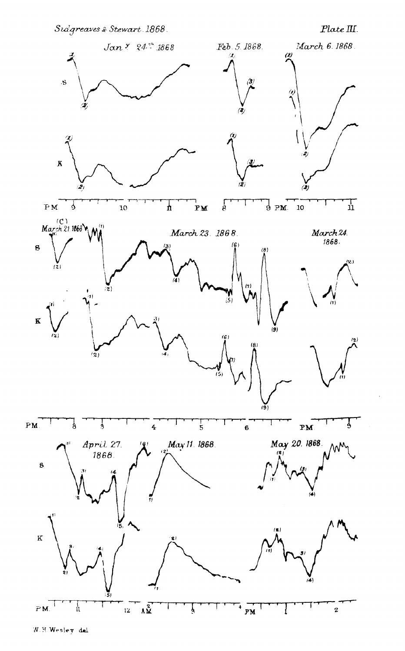Sidgreaves & Stewart. 1868.



W.H. Wesley del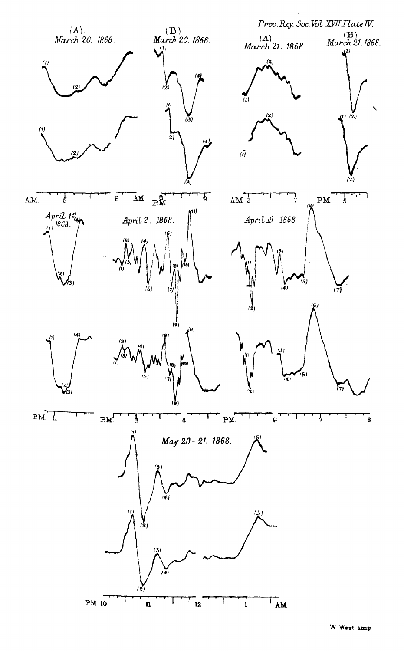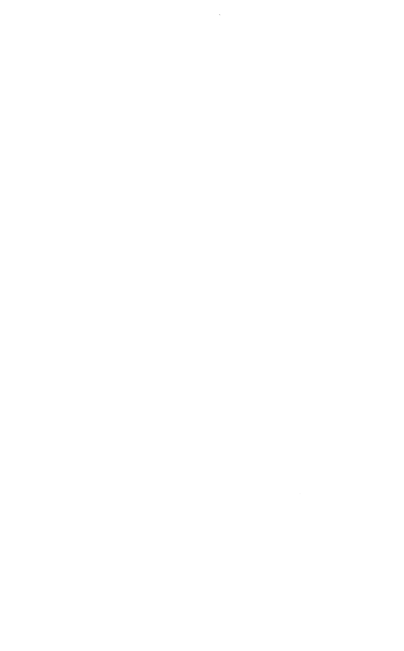$\frac{1}{2} \left( \frac{1}{2} \right) \left( \frac{1}{2} \right)$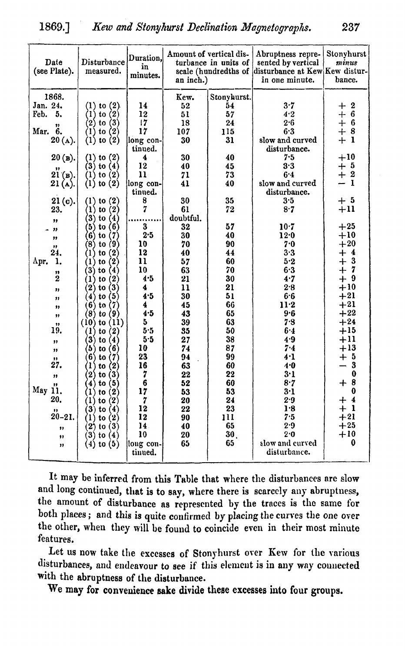|                         |                    | Duration,    |           | Amount of vertical dis- | Abruptness repre-              | Stonyhurst                        |
|-------------------------|--------------------|--------------|-----------|-------------------------|--------------------------------|-----------------------------------|
| Date                    | Disturbance        | in           |           | turbance in units of    | sented by vertical             | minus                             |
| (see Plate).            | measured.          | minutes.     |           | scale (hundredths of    | disturbance at Kew Kew distur- |                                   |
|                         |                    |              | an inch.) |                         | in one minute.                 | bance.                            |
| 1868.                   |                    |              | Kew.      | Stonyhurst.             |                                |                                   |
| Jan. 24.                | $(1)$ to $(2)$ .   | 14           | 52        | 54                      | 3.7                            | - 2<br>┿                          |
| 5.<br>Feb.              | $(1)$ to $(2)$     | 12           | 51        | 57                      | 4.2                            | $+6$                              |
|                         | $(2)$ to $(3)$     | 17           | 18        | 24                      | 2.6                            | $+6$                              |
| ,,<br>Mar. 6.           | $(1)$ to $(2)$     | 17           | 107       | 115                     | 6.3                            | $+8$                              |
| 20(A).                  | to $(2)$<br>(1)    | long con-    | 30        | 31                      | slow and curved                | -1<br>$\div$                      |
|                         |                    | tinued.      |           |                         | disturbance.                   |                                   |
| 20 (в).                 | $(1)$ to $(2)$     | 4            | 30        | 40                      | 7.5                            | $+10$                             |
|                         | $(3)$ to $(4)$     | 12           | 40        | 45                      | 3.3                            | $+5$                              |
| $2\overset{''}{1}(B)$ . | $(1)$ to $(2)$     | $\mathbf{1}$ | 71        | 73                      | 6.4                            | $+2$                              |
|                         | $(1)$ to $(2)$     | long con-    | 41        | 40                      | slow and curved                | -1                                |
| 21(A).                  |                    | tinued.      |           |                         | disturbance.                   |                                   |
| 21(c).                  | $(1)$ to $(2)$     | 8            | 30        | 35                      | 3.5                            | $+5$                              |
| 23.                     | $(1)$ to $(2)$     | 7            | 61        | 72                      | 8.7                            | $+11$                             |
|                         | $(3)$ to $(4)$     |              | doubtful. |                         |                                |                                   |
| ,,                      | (5) to (6)         | 3            | 32        | 57                      | 10.7                           | $+25$                             |
| ,,                      | '6) to<br>(7)      | 2.5          | 30        | 40                      | 12.0                           | $+10$                             |
| ,,                      | (8) to<br>(9)      | 10           | 70        | 90                      | 7.0                            | $+20$                             |
| ,,<br>24.               | (2)<br>to<br>(1)   | 12           | 40        | 44                      | 3.3                            | $+4$                              |
| Apr.<br>ı.              | (2)<br>(1)<br>to   | 11           | 57        | 60                      | 5.2                            | $+3$                              |
|                         | 3)<br>to<br>(4)    | 10           | 63        | 70                      | 6.3                            | -7<br>$+$                         |
| 11<br>2                 | (2)<br>(1)<br>to   | 4.5          | 21        | 30                      | 4.7                            | $+9$                              |
|                         | (3)<br>'2)<br>to   | 4            | 11        | 21                      | 2.8                            | $+10$                             |
| ,,                      | (5)<br>to<br>4)    | 4.5          | 30        | 51                      | 6.6                            | $+21$                             |
| $^{\prime \prime}$      | (7)<br>(6) to      | 4            | 45        | 66                      | 11.2                           | $+21$                             |
| ,,                      | '8) to<br>(9)      | 4.5          | 43        | 65                      | 9.6                            | $+22$                             |
| ,,                      | (11)<br>(10)<br>to | 5            | 39        | 63                      | 7.8                            | $+24$                             |
| ,,<br>19.               | Œ<br>to<br>(2)     | 5.5          | 35        | 50                      | 6.4                            | $+15$                             |
|                         | '3)<br>to<br>(4)   | 5.5          | 27        | 38                      | 4.9                            | $+11$                             |
| ,,                      | 5)<br>(6)<br>to    | 10           | 74        | 87                      | 7.4                            | $+13$                             |
| ,,                      | 6<br>to<br>(7)     | 23           | 94        | 99                      | 4.1                            | -5<br>$+$                         |
| ,,<br>27.               | (2)<br>п<br>to     | 16           | 63        | 60                      | 4.0                            | 3                                 |
|                         | to $(3)$<br>′2     | 7            | 22        | 22                      | 3-1                            | 0                                 |
| "                       | to $(5)$<br>4)     | 6            | 52        | 60                      | 8.7                            | 8<br>┿                            |
| ,,<br>May 11.           | Ί<br>(2)<br>to     | 17           | 53        | 53                      | 3·1                            | 0                                 |
| 20.                     | to $(2)$<br>(1)    | 7            | 20        | 24                      | 2.9                            | $\div$<br>$\overline{\mathbf{4}}$ |
|                         | 3)<br>to<br>(4)    | 12           | 22        | 23                      | 1.8                            | + 1                               |
| .,<br>$20 - 21.$        | $(1)$ to<br>(2)    | 12           | 90        | Ш                       | 7.5                            | $+21$                             |
|                         | $21$ to $(3)$      | 14           | 40        | 65                      | 2.9                            | $+25$                             |
| ,,                      | (3) to (4)         | 10           | 20        | 30.                     | 2.0                            | $+10$                             |
| ,,                      | to $(5)$<br>(4)    | long con-    | 65        | 65                      | slow and curved                | 0                                 |
| ,,                      |                    | tinued.      |           |                         | disturbance.                   |                                   |
|                         |                    |              |           |                         |                                |                                   |

It may be inferred from this Table that where the disturbances are slow and long continued, that is to say, where there is scarcely any abruptness, the amount of disturbance as represented by the traces is the same for both places; and this is quite confirmed by placing the curves the one over the other, when they will be found to coincide even in their most minute features.

Let us now take the excesses of Stonyhurst over Kew for the various disturbances, and endeavour to see if this element is in any way connected with the abruptness of the disturbance.

We may for convenience sake divide these excesses into four groups.